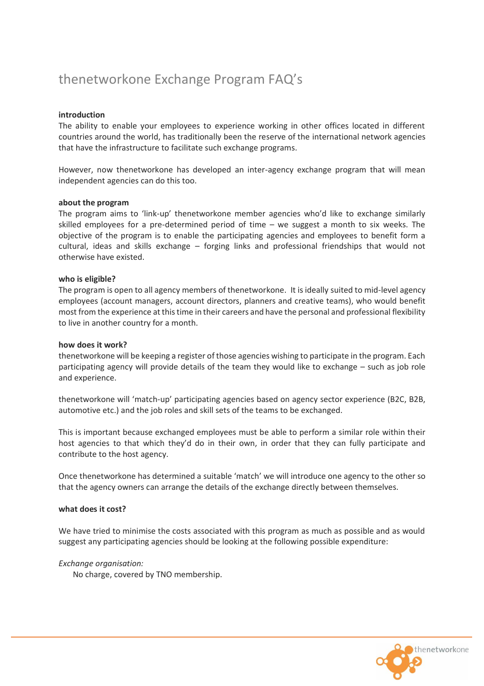# thenetworkone Exchange Program FAQ's

## **introduction**

The ability to enable your employees to experience working in other offices located in different countries around the world, has traditionally been the reserve of the international network agencies that have the infrastructure to facilitate such exchange programs.

However, now thenetworkone has developed an inter-agency exchange program that will mean independent agencies can do this too.

## **about the program**

The program aims to 'link-up' thenetworkone member agencies who'd like to exchange similarly skilled employees for a pre-determined period of time – we suggest a month to six weeks. The objective of the program is to enable the participating agencies and employees to benefit form a cultural, ideas and skills exchange – forging links and professional friendships that would not otherwise have existed.

## **who is eligible?**

The program is open to all agency members of thenetworkone. It is ideally suited to mid-level agency employees (account managers, account directors, planners and creative teams), who would benefit most from the experience at this time in their careers and have the personal and professional flexibility to live in another country for a month.

#### **how does it work?**

thenetworkone will be keeping a register of those agencies wishing to participate in the program. Each participating agency will provide details of the team they would like to exchange – such as job role and experience.

thenetworkone will 'match-up' participating agencies based on agency sector experience (B2C, B2B, automotive etc.) and the job roles and skill sets of the teams to be exchanged.

This is important because exchanged employees must be able to perform a similar role within their host agencies to that which they'd do in their own, in order that they can fully participate and contribute to the host agency.

Once thenetworkone has determined a suitable 'match' we will introduce one agency to the other so that the agency owners can arrange the details of the exchange directly between themselves.

#### **what does it cost?**

We have tried to minimise the costs associated with this program as much as possible and as would suggest any participating agencies should be looking at the following possible expenditure:

#### *Exchange organisation:*

No charge, covered by TNO membership.